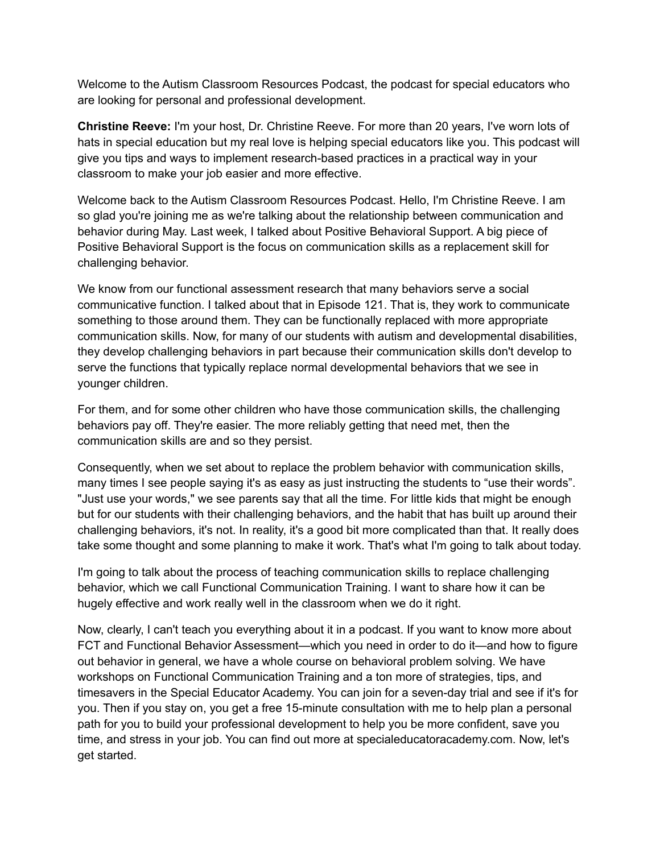Welcome to the Autism Classroom Resources Podcast, the podcast for special educators who are looking for personal and professional development.

**Christine Reeve:** I'm your host, Dr. Christine Reeve. For more than 20 years, I've worn lots of hats in special education but my real love is helping special educators like you. This podcast will give you tips and ways to implement research-based practices in a practical way in your classroom to make your job easier and more effective.

Welcome back to the Autism Classroom Resources Podcast. Hello, I'm Christine Reeve. I am so glad you're joining me as we're talking about the relationship between communication and behavior during May. Last week, I talked about Positive Behavioral Support. A big piece of Positive Behavioral Support is the focus on communication skills as a replacement skill for challenging behavior.

We know from our functional assessment research that many behaviors serve a social communicative function. I talked about that in Episode 121. That is, they work to communicate something to those around them. They can be functionally replaced with more appropriate communication skills. Now, for many of our students with autism and developmental disabilities, they develop challenging behaviors in part because their communication skills don't develop to serve the functions that typically replace normal developmental behaviors that we see in younger children.

For them, and for some other children who have those communication skills, the challenging behaviors pay off. They're easier. The more reliably getting that need met, then the communication skills are and so they persist.

Consequently, when we set about to replace the problem behavior with communication skills, many times I see people saying it's as easy as just instructing the students to "use their words". "Just use your words," we see parents say that all the time. For little kids that might be enough but for our students with their challenging behaviors, and the habit that has built up around their challenging behaviors, it's not. In reality, it's a good bit more complicated than that. It really does take some thought and some planning to make it work. That's what I'm going to talk about today.

I'm going to talk about the process of teaching communication skills to replace challenging behavior, which we call Functional Communication Training. I want to share how it can be hugely effective and work really well in the classroom when we do it right.

Now, clearly, I can't teach you everything about it in a podcast. If you want to know more about FCT and Functional Behavior Assessment—which you need in order to do it—and how to figure out behavior in general, we have a whole course on behavioral problem solving. We have workshops on Functional Communication Training and a ton more of strategies, tips, and timesavers in the Special Educator Academy. You can join for a seven-day trial and see if it's for you. Then if you stay on, you get a free 15-minute consultation with me to help plan a personal path for you to build your professional development to help you be more confident, save you time, and stress in your job. You can find out more at specialeducatoracademy.com. Now, let's get started.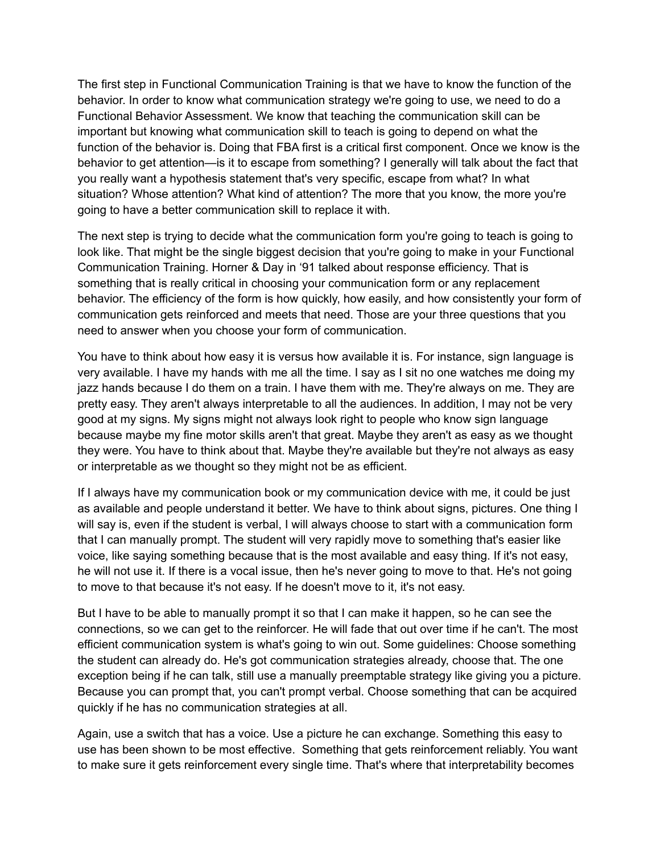The first step in Functional Communication Training is that we have to know the function of the behavior. In order to know what communication strategy we're going to use, we need to do a Functional Behavior Assessment. We know that teaching the communication skill can be important but knowing what communication skill to teach is going to depend on what the function of the behavior is. Doing that FBA first is a critical first component. Once we know is the behavior to get attention—is it to escape from something? I generally will talk about the fact that you really want a hypothesis statement that's very specific, escape from what? In what situation? Whose attention? What kind of attention? The more that you know, the more you're going to have a better communication skill to replace it with.

The next step is trying to decide what the communication form you're going to teach is going to look like. That might be the single biggest decision that you're going to make in your Functional Communication Training. Horner & Day in '91 talked about response efficiency. That is something that is really critical in choosing your communication form or any replacement behavior. The efficiency of the form is how quickly, how easily, and how consistently your form of communication gets reinforced and meets that need. Those are your three questions that you need to answer when you choose your form of communication.

You have to think about how easy it is versus how available it is. For instance, sign language is very available. I have my hands with me all the time. I say as I sit no one watches me doing my jazz hands because I do them on a train. I have them with me. They're always on me. They are pretty easy. They aren't always interpretable to all the audiences. In addition, I may not be very good at my signs. My signs might not always look right to people who know sign language because maybe my fine motor skills aren't that great. Maybe they aren't as easy as we thought they were. You have to think about that. Maybe they're available but they're not always as easy or interpretable as we thought so they might not be as efficient.

If I always have my communication book or my communication device with me, it could be just as available and people understand it better. We have to think about signs, pictures. One thing I will say is, even if the student is verbal, I will always choose to start with a communication form that I can manually prompt. The student will very rapidly move to something that's easier like voice, like saying something because that is the most available and easy thing. If it's not easy, he will not use it. If there is a vocal issue, then he's never going to move to that. He's not going to move to that because it's not easy. If he doesn't move to it, it's not easy.

But I have to be able to manually prompt it so that I can make it happen, so he can see the connections, so we can get to the reinforcer. He will fade that out over time if he can't. The most efficient communication system is what's going to win out. Some guidelines: Choose something the student can already do. He's got communication strategies already, choose that. The one exception being if he can talk, still use a manually preemptable strategy like giving you a picture. Because you can prompt that, you can't prompt verbal. Choose something that can be acquired quickly if he has no communication strategies at all.

Again, use a switch that has a voice. Use a picture he can exchange. Something this easy to use has been shown to be most effective. Something that gets reinforcement reliably. You want to make sure it gets reinforcement every single time. That's where that interpretability becomes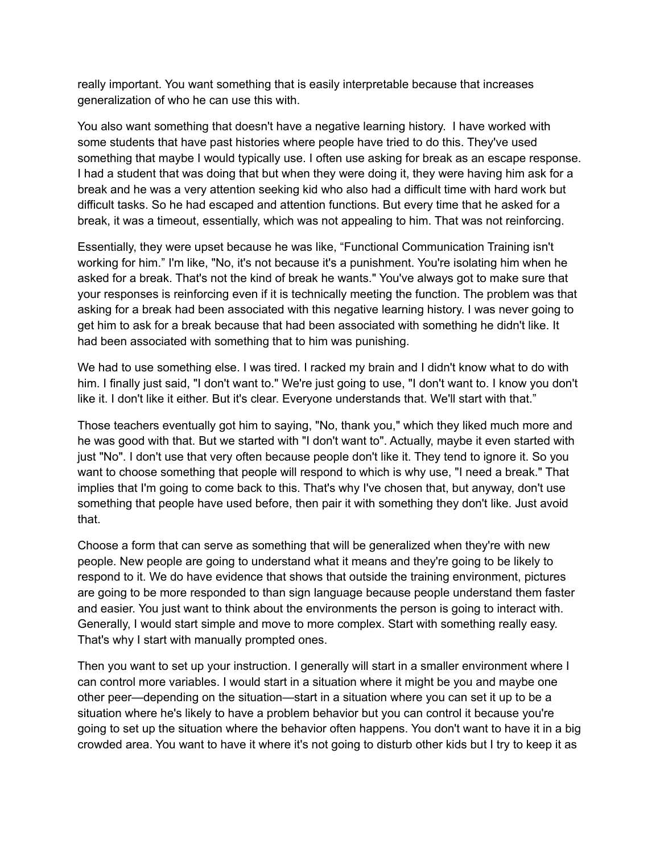really important. You want something that is easily interpretable because that increases generalization of who he can use this with.

You also want something that doesn't have a negative learning history. I have worked with some students that have past histories where people have tried to do this. They've used something that maybe I would typically use. I often use asking for break as an escape response. I had a student that was doing that but when they were doing it, they were having him ask for a break and he was a very attention seeking kid who also had a difficult time with hard work but difficult tasks. So he had escaped and attention functions. But every time that he asked for a break, it was a timeout, essentially, which was not appealing to him. That was not reinforcing.

Essentially, they were upset because he was like, "Functional Communication Training isn't working for him." I'm like, "No, it's not because it's a punishment. You're isolating him when he asked for a break. That's not the kind of break he wants." You've always got to make sure that your responses is reinforcing even if it is technically meeting the function. The problem was that asking for a break had been associated with this negative learning history. I was never going to get him to ask for a break because that had been associated with something he didn't like. It had been associated with something that to him was punishing.

We had to use something else. I was tired. I racked my brain and I didn't know what to do with him. I finally just said, "I don't want to." We're just going to use, "I don't want to. I know you don't like it. I don't like it either. But it's clear. Everyone understands that. We'll start with that."

Those teachers eventually got him to saying, "No, thank you," which they liked much more and he was good with that. But we started with "I don't want to". Actually, maybe it even started with just "No". I don't use that very often because people don't like it. They tend to ignore it. So you want to choose something that people will respond to which is why use, "I need a break." That implies that I'm going to come back to this. That's why I've chosen that, but anyway, don't use something that people have used before, then pair it with something they don't like. Just avoid that.

Choose a form that can serve as something that will be generalized when they're with new people. New people are going to understand what it means and they're going to be likely to respond to it. We do have evidence that shows that outside the training environment, pictures are going to be more responded to than sign language because people understand them faster and easier. You just want to think about the environments the person is going to interact with. Generally, I would start simple and move to more complex. Start with something really easy. That's why I start with manually prompted ones.

Then you want to set up your instruction. I generally will start in a smaller environment where I can control more variables. I would start in a situation where it might be you and maybe one other peer—depending on the situation—start in a situation where you can set it up to be a situation where he's likely to have a problem behavior but you can control it because you're going to set up the situation where the behavior often happens. You don't want to have it in a big crowded area. You want to have it where it's not going to disturb other kids but I try to keep it as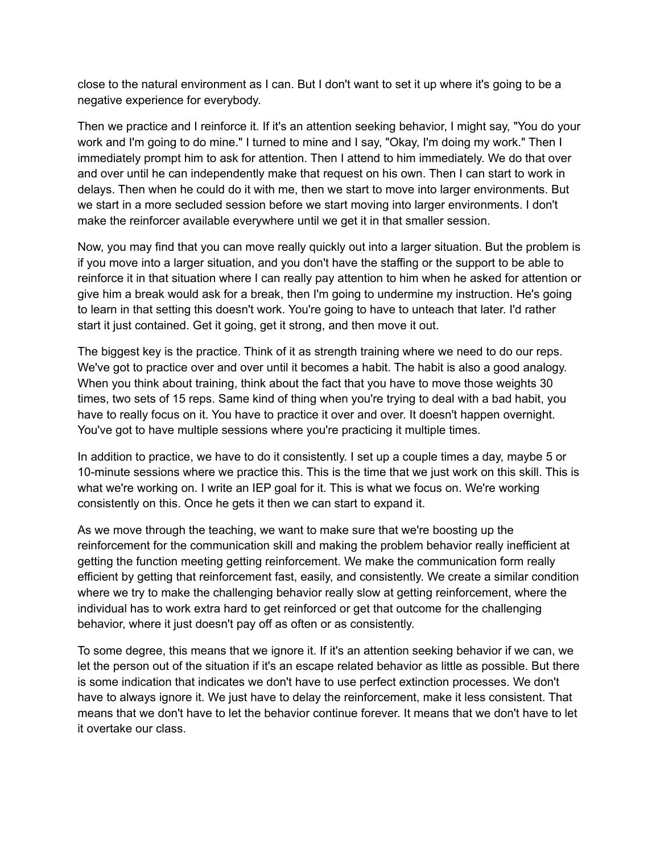close to the natural environment as I can. But I don't want to set it up where it's going to be a negative experience for everybody.

Then we practice and I reinforce it. If it's an attention seeking behavior, I might say, "You do your work and I'm going to do mine." I turned to mine and I say, "Okay, I'm doing my work." Then I immediately prompt him to ask for attention. Then I attend to him immediately. We do that over and over until he can independently make that request on his own. Then I can start to work in delays. Then when he could do it with me, then we start to move into larger environments. But we start in a more secluded session before we start moving into larger environments. I don't make the reinforcer available everywhere until we get it in that smaller session.

Now, you may find that you can move really quickly out into a larger situation. But the problem is if you move into a larger situation, and you don't have the staffing or the support to be able to reinforce it in that situation where I can really pay attention to him when he asked for attention or give him a break would ask for a break, then I'm going to undermine my instruction. He's going to learn in that setting this doesn't work. You're going to have to unteach that later. I'd rather start it just contained. Get it going, get it strong, and then move it out.

The biggest key is the practice. Think of it as strength training where we need to do our reps. We've got to practice over and over until it becomes a habit. The habit is also a good analogy. When you think about training, think about the fact that you have to move those weights 30 times, two sets of 15 reps. Same kind of thing when you're trying to deal with a bad habit, you have to really focus on it. You have to practice it over and over. It doesn't happen overnight. You've got to have multiple sessions where you're practicing it multiple times.

In addition to practice, we have to do it consistently. I set up a couple times a day, maybe 5 or 10-minute sessions where we practice this. This is the time that we just work on this skill. This is what we're working on. I write an IEP goal for it. This is what we focus on. We're working consistently on this. Once he gets it then we can start to expand it.

As we move through the teaching, we want to make sure that we're boosting up the reinforcement for the communication skill and making the problem behavior really inefficient at getting the function meeting getting reinforcement. We make the communication form really efficient by getting that reinforcement fast, easily, and consistently. We create a similar condition where we try to make the challenging behavior really slow at getting reinforcement, where the individual has to work extra hard to get reinforced or get that outcome for the challenging behavior, where it just doesn't pay off as often or as consistently.

To some degree, this means that we ignore it. If it's an attention seeking behavior if we can, we let the person out of the situation if it's an escape related behavior as little as possible. But there is some indication that indicates we don't have to use perfect extinction processes. We don't have to always ignore it. We just have to delay the reinforcement, make it less consistent. That means that we don't have to let the behavior continue forever. It means that we don't have to let it overtake our class.